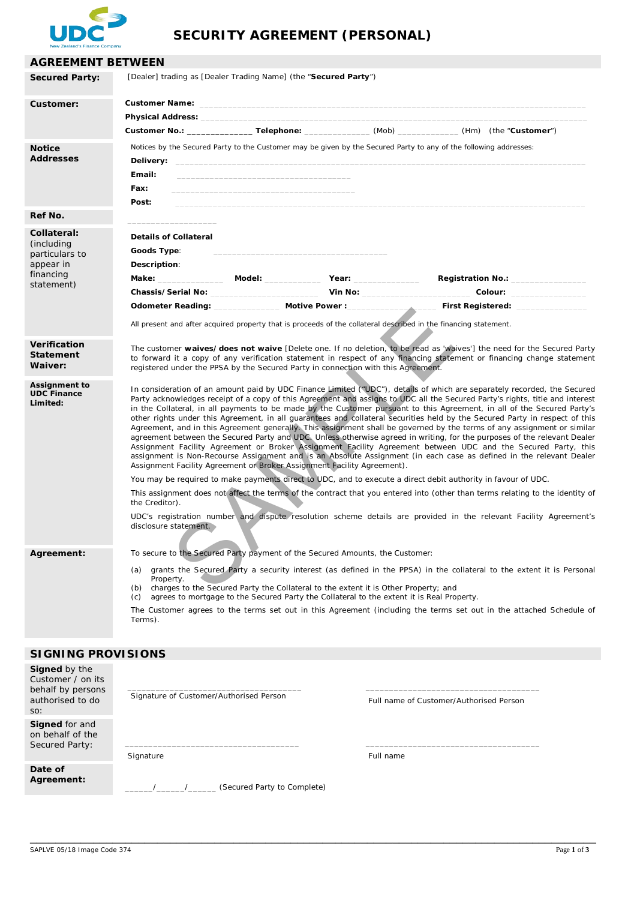

# **SECURITY AGREEMENT (PERSONAL)**

| <b>AGREEMENT BETWEEN</b>                                                            |                                                                                                                                                                                                                                                                                                                                                                                                                                                                                                                                                                                                                                                                                                                                                                                                                                                                                                                                                                                                                                                                                                                                                                                                                                                                                                                                                                                                                                                                                                                |                                                                 |  |                                                                                                                   |  |  |
|-------------------------------------------------------------------------------------|----------------------------------------------------------------------------------------------------------------------------------------------------------------------------------------------------------------------------------------------------------------------------------------------------------------------------------------------------------------------------------------------------------------------------------------------------------------------------------------------------------------------------------------------------------------------------------------------------------------------------------------------------------------------------------------------------------------------------------------------------------------------------------------------------------------------------------------------------------------------------------------------------------------------------------------------------------------------------------------------------------------------------------------------------------------------------------------------------------------------------------------------------------------------------------------------------------------------------------------------------------------------------------------------------------------------------------------------------------------------------------------------------------------------------------------------------------------------------------------------------------------|-----------------------------------------------------------------|--|-------------------------------------------------------------------------------------------------------------------|--|--|
| <b>Secured Party:</b>                                                               |                                                                                                                                                                                                                                                                                                                                                                                                                                                                                                                                                                                                                                                                                                                                                                                                                                                                                                                                                                                                                                                                                                                                                                                                                                                                                                                                                                                                                                                                                                                | [Dealer] trading as [Dealer Trading Name] (the "Secured Party") |  |                                                                                                                   |  |  |
| Customer:                                                                           |                                                                                                                                                                                                                                                                                                                                                                                                                                                                                                                                                                                                                                                                                                                                                                                                                                                                                                                                                                                                                                                                                                                                                                                                                                                                                                                                                                                                                                                                                                                |                                                                 |  |                                                                                                                   |  |  |
|                                                                                     |                                                                                                                                                                                                                                                                                                                                                                                                                                                                                                                                                                                                                                                                                                                                                                                                                                                                                                                                                                                                                                                                                                                                                                                                                                                                                                                                                                                                                                                                                                                |                                                                 |  |                                                                                                                   |  |  |
|                                                                                     |                                                                                                                                                                                                                                                                                                                                                                                                                                                                                                                                                                                                                                                                                                                                                                                                                                                                                                                                                                                                                                                                                                                                                                                                                                                                                                                                                                                                                                                                                                                |                                                                 |  | Customer No.: ___________________Telephone: ________________(Mob) ______________(Hm) (the "Customer")             |  |  |
| <b>Notice</b><br><b>Addresses</b>                                                   | Email:<br>Fax:<br>Post:                                                                                                                                                                                                                                                                                                                                                                                                                                                                                                                                                                                                                                                                                                                                                                                                                                                                                                                                                                                                                                                                                                                                                                                                                                                                                                                                                                                                                                                                                        |                                                                 |  | Notices by the Secured Party to the Customer may be given by the Secured Party to any of the following addresses: |  |  |
| Ref No.                                                                             |                                                                                                                                                                                                                                                                                                                                                                                                                                                                                                                                                                                                                                                                                                                                                                                                                                                                                                                                                                                                                                                                                                                                                                                                                                                                                                                                                                                                                                                                                                                |                                                                 |  |                                                                                                                   |  |  |
| Collateral:<br>(including<br>particulars to<br>appear in<br>financing<br>statement) | <b>Details of Collateral</b><br>Goods Type:<br>Description:                                                                                                                                                                                                                                                                                                                                                                                                                                                                                                                                                                                                                                                                                                                                                                                                                                                                                                                                                                                                                                                                                                                                                                                                                                                                                                                                                                                                                                                    | Make: Model: Year:                                              |  | Registration No.: Neglistration No.:                                                                              |  |  |
|                                                                                     |                                                                                                                                                                                                                                                                                                                                                                                                                                                                                                                                                                                                                                                                                                                                                                                                                                                                                                                                                                                                                                                                                                                                                                                                                                                                                                                                                                                                                                                                                                                | Odometer Reading: Motive Power :                                |  | First Registered:                                                                                                 |  |  |
|                                                                                     | All present and after acquired property that is proceeds of the collateral described in the financing statement.                                                                                                                                                                                                                                                                                                                                                                                                                                                                                                                                                                                                                                                                                                                                                                                                                                                                                                                                                                                                                                                                                                                                                                                                                                                                                                                                                                                               |                                                                 |  |                                                                                                                   |  |  |
| <b>Verification</b><br><b>Statement</b><br>Waiver:                                  | The customer waives/does not waive [Delete one. If no deletion, to be read as 'waives'] the need for the Secured Party<br>to forward it a copy of any verification statement in respect of any financing statement or financing change statement<br>registered under the PPSA by the Secured Party in connection with this Agreement.                                                                                                                                                                                                                                                                                                                                                                                                                                                                                                                                                                                                                                                                                                                                                                                                                                                                                                                                                                                                                                                                                                                                                                          |                                                                 |  |                                                                                                                   |  |  |
| Assignment to<br><b>UDC Finance</b><br>Limited:                                     | In consideration of an amount paid by UDC Finance Limited ("UDC"), details of which are separately recorded, the Secured<br>Party acknowledges receipt of a copy of this Agreement and assigns to UDC all the Secured Party's rights, title and interest<br>in the Collateral, in all payments to be made by the Customer pursuant to this Agreement, in all of the Secured Party's<br>other rights under this Agreement, in all quarantees and collateral securities held by the Secured Party in respect of this<br>Agreement, and in this Agreement generally. This assignment shall be governed by the terms of any assignment or similar<br>agreement between the Secured Party and UDC. Unless otherwise agreed in writing, for the purposes of the relevant Dealer<br>Assignment Facility Agreement or Broker Assignment Facility Agreement between UDC and the Secured Party, this<br>assignment is Non-Recourse Assignment and is an Absolute Assignment (in each case as defined in the relevant Dealer<br>Assignment Facility Agreement of Broker Assignment Facility Agreement).<br>You may be required to make payments direct to UDC, and to execute a direct debit authority in favour of UDC.<br>This assignment does not affect the terms of the contract that you entered into (other than terms relating to the identity of<br>the Creditor).<br>UDC's registration number and dispute resolution scheme details are provided in the relevant Facility Agreement's<br>disclosure statement. |                                                                 |  |                                                                                                                   |  |  |
| Agreement:                                                                          | To secure to the Secured Party payment of the Secured Amounts, the Customer:<br>grants the Secured Party a security interest (as defined in the PPSA) in the collateral to the extent it is Personal<br>(a)<br>Property.<br>charges to the Secured Party the Collateral to the extent it is Other Property; and<br>(b)<br>agrees to mortgage to the Secured Party the Collateral to the extent it is Real Property.<br>(c)<br>The Customer agrees to the terms set out in this Agreement (including the terms set out in the attached Schedule of<br>Terms).                                                                                                                                                                                                                                                                                                                                                                                                                                                                                                                                                                                                                                                                                                                                                                                                                                                                                                                                                   |                                                                 |  |                                                                                                                   |  |  |
| <b>SIGNING PROVISIONS</b>                                                           |                                                                                                                                                                                                                                                                                                                                                                                                                                                                                                                                                                                                                                                                                                                                                                                                                                                                                                                                                                                                                                                                                                                                                                                                                                                                                                                                                                                                                                                                                                                |                                                                 |  |                                                                                                                   |  |  |
| <b>Signed</b> by the                                                                |                                                                                                                                                                                                                                                                                                                                                                                                                                                                                                                                                                                                                                                                                                                                                                                                                                                                                                                                                                                                                                                                                                                                                                                                                                                                                                                                                                                                                                                                                                                |                                                                 |  |                                                                                                                   |  |  |
|                                                                                     |                                                                                                                                                                                                                                                                                                                                                                                                                                                                                                                                                                                                                                                                                                                                                                                                                                                                                                                                                                                                                                                                                                                                                                                                                                                                                                                                                                                                                                                                                                                |                                                                 |  |                                                                                                                   |  |  |

| Customer / on its<br>behalf by persons<br>authorised to do<br>SO: | Signature of Customer/Authorised Person | Full name of Customer/Authorised Person |  |  |
|-------------------------------------------------------------------|-----------------------------------------|-----------------------------------------|--|--|
| <b>Signed</b> for and<br>on behalf of the<br>Secured Party:       | Signature                               | Full name                               |  |  |
| Date of<br>Agreement:                                             | (Secured Party to Complete)             |                                         |  |  |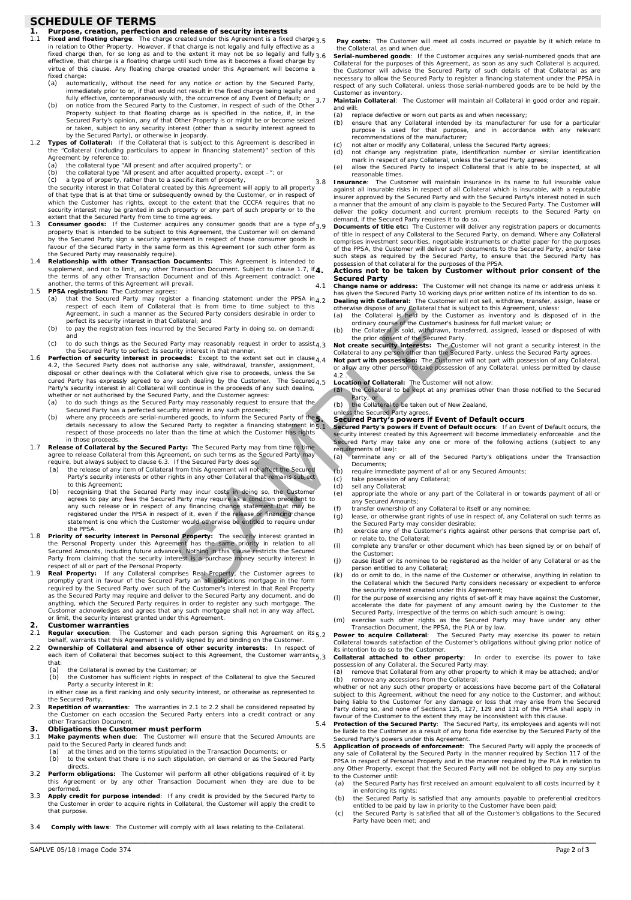# **SCHEDULE OF TERMS**

- **1. Purpose, creation, perfection and release of security interests**<br>1.1 **Fixed and floating charge**: The charge created under this Agreement is a fixed charge<br>in relation to Other Property. However, if that charge is not effective, that charge is a floating charge until such time as it becomes a fixed charge by virtue of this clause. Any floating charge created under this Agreement will become a
	- fixed charge:<br>(a) automa (a) automatically, without the need for any notice or action by the Secured Party,<br>immediately prior to or, if that would not result in the fixed charge being legally and<br>fully effective, contemporaneously with, the occurr
- (b) on notice from the Secured Party to the Customer, in respect of such of the Other<br>Property subject to that floating charge as is specified in the notice, if, in the<br>Secured Party's opinion, any of that Other Property i
	- Agreement by reference to:
	-
	- (a) the collateral type "All present and after acquired property"; or (b) the collateral type "All present and after acquitted property, except –"; or (c) a type of property, rather than to a specific item of property,
	-

the security interest in that Collateral created by this Agreement will apply to all property<br>of that type that is at that time or subsequently owned by the Customer, or in respect of<br>which the Customer has rights, except security interest may be granted in such property or any part of such property or to the

- extent that the Secured Party from time to time agrees. 1.3 **Consumer goods:** If the Customer acquires any consumer goods that are a type of property that is intended to be subject to this Agreement, the Customer will on demand<br>by the Secured Party sign a security agreement in respect of those consumer goods in<br>favour of the Secured Party in the same form as th
- the Secured Party may reasonably require). 1.4 **Relationship with other Transaction Documents:** This Agreement is intended to supplement, and not to limit, any other Transaction Document. Subject to clause [1.7,](#page-1-0) if 4. the terms of any other Transaction Document and of this Agreement contradict one another, the terms of this Agreement will prevail. 1.5 **PPSA registration:** The Customer agrees:
	- (a) that the Secured Party may register a financing statement under the PPSA in<br>respect of each item of Collateral that is from time to time subject to this<br>Agreement, in such a manner as the Secured Party considers desira perfect its security interest in that Collateral; and
	- (b) to pay the registration fees incurred by the Secured Party in doing so, on demand; and
	-

(c) to do such things as the Secured Party may reasonably request in order to assist,<br>the Secured Party to perfect its security interest in that manner.<br>1.6 **Perfection of security interest in proceeds**: Except to the exte disposal or other dealings with the Collateral which give rise to proceeds, unless the Se<br>cured Party has expressly agreed to any such dealing by the Customer. The Secured,<br>Party's security interest in all Collateral will and an example interest and one control to the solution of the solution of the solution of the solution of the solution of the solution of the solution of the solution of the custom of the prince of the Custom of the Custo

- whether or not authorised by the Secured Party, and the Customer agrees: (a) to do such things as the Secured Party may reasonably request to ensure that the
- Secured Party has a perfected security interest in any such proceeds;<br>
(b) where any proceeds are serial-numbered goods, to inform the Secured Party of the<br>
details necessary to allow the Secured Party to register a financ in those proceeds.
- <span id="page-1-0"></span>1.7 **Release of Collateral by the Secured Party:** The Secured Party may from time to time agree to release Collateral from this Agreement, on such terms as the Secured Party may require, but always subject to claus[e 6.3.](#page-2-0) If the Secured Party does so:
	- (a) the release of any item of Collateral from this Agreement will not affect the Secured Party's security interests or other rights in any other Collateral that remains subject to this Agreement;
	- (b) recognising that the Secured Party may incur costs in doing so, the Custome agrees to pay any fees the Secured Party may require as a condition precedent to<br>any such release or in respect of any financing change statement that may be<br>registered under the PPSA in respect of it, even if the release statement is one which the Customer would otherwise be entitled to require under the PPSA.
- 1.8 **Priority of security interest in Personal Property:** The security interest granted in the Personal Property under this Agreement has the same priority in relation to all<br>Secured Amounts, including future advances, Nothing in this clause restricts the Secured<br>Party from claiming that the security interest is
- respect of all or part of the Personal Property.<br>1.9 **Real Property**, the Customer agrees to<br>property is fany Collateral comprises Real Property, the Customer agrees to<br>promptly grant in favour of the Secured Party an all as the Secured Party may require and deliver to the Secured Party any document, and do anything, which the Secured Party requires in order to register any such mortgage. The Customer acknowledges and agrees that any such mortgage shall not in any way affect, or limit, the security interest granted under this Agreement.

### **2. Customer warranties**

<span id="page-1-2"></span>**Regular execution:** The Customer and each person signing this Agreement on its<sub>5.2</sub> behalf, warrants that this Agreement is validly signed by and binding on the Customer. 2.2 **Ownership of Collateral and absence of other security interests**: In respect of

- <span id="page-1-3"></span>each item of Collateral that becomes subject to this Agreement, the Customer warrants<sub>5.3</sub> that:
	- (a) the Collateral is owned by the Customer; or<br>(b) the Customer has sufficient rights in respe
	- the Customer has sufficient rights in respect of the Collateral to give the Secured Party a security interest in it;
	- in either case as a first ranking and only security interest, or otherwise as represented to the Secured Party.
- 2.3 **Repetition of warranties**: The warranties i[n 2.1](#page-1-2) t[o 2.2](#page-1-3) shall be considered repeated by the Customer on each occasion the Secured Party enters into a credit contract or any other Transaction Document.
- **3. Obligations the Customer must perform**<br>**3.1** Make payments when due: The Customer will
- 3.1 **Make payments when due**: The Customer will ensure that the Secured Amounts are paid to the Secured Party in cleared funds and:
	- (a) at the times and on the terms stipulated in the Transaction Documents; or (b) to the extent that there is no such stipulation, on demand or as the Secu to the extent that there is no such stipulation, on demand or as the Secured Party
- directs. Perform obligations: The Customer will perform all other obligations required of it by this Agreement or by any other Transaction Document when they are due to be performed.
- 3.3 **Apply credit for purpose intended**: If any credit is provided by the Secured Party to the Customer in order to acquire rights in Collateral, the Customer will apply the credit to that purpose.
- 3.4 **Comply with laws**: The Customer will comply with all laws relating to the Collateral.

\_\_\_\_\_\_\_\_\_\_\_\_\_\_\_\_\_\_\_\_\_\_\_\_\_\_\_\_\_\_\_\_\_\_\_\_\_\_\_\_\_\_\_\_\_\_\_\_\_\_\_\_\_\_\_\_\_\_\_\_\_\_\_\_\_\_\_\_\_\_\_\_\_\_\_\_\_\_\_\_\_\_\_\_\_\_\_\_\_

Pay costs: The Customer will meet all costs incurred or payable by it which relate to the Collateral, as and when due.

Serial-numbered goods: If the Customer acquires any serial-numbered goods that are Collateral for the purposes of this Agreement, as soon as any such Collateral is acquired, the Customer will advise the Secured Party of such details of that Collateral as are necessary to allow the Secured Party to register a financing statement under the PPSA in respect of any such Collateral, unless those serial-numbered goods are to be held by the

Customer as inventory. 3.7 **Maintain Collateral**: The Customer will maintain all Collateral in good order and repair, and will:

- 
- (a) replace defective or worn out parts as and when necessary; (b) ensure that any Collateral intended by its manufacturer for use for a particular purpose is used for that purpose, and in accordance with any relevant recommendations of the manufacturer;
- (c) not alter or modify any Collateral, unless the Secured Party agrees<br>(d) not change any registration plate, identification number or sim
- (d) not change any registration plate, identification number or similar identification
- mark in respect of any Collateral, unless the Secured Party agrees; (e) allow the Secured Party to inspect Collateral that is able to be inspected, at all reasonable times.

3.8 **Insurance**: The Customer will maintain insurance in its name to full insurable value against all insurable risks in respect of all Collateral which is insurable, with a reputable insurer approved by the Secured Party and with the Secured Party's interest noted in such<br>a manner that the amount of any claim is payable to the Secured Party. The Customer will<br>deliver the policy document and current pre

3.9 **Documents of title etc:** The Customer will deliver any registration papers or documents of title in respect of any Collateral to the Secured Party, on demand. Where any Collateral comprises investment securities, negotiable instruments or chattel paper for the purposes of the PPSA, the Customer will deliver such documents to the Secured Party, and/or take such steps as required by the Secured Party, to ensure that the Secured Party has possession of that collateral for the purposes of the PPSA.

#### **4. Actions not to be taken by Customer without prior consent of the Secured Party**

<span id="page-1-1"></span>4.1 Change name or address: The Customer will not change its name or address unless it<br>has given the Secured Party 10 working days prior written notice of its intention to do so.<br>4.2 Dealing with Collateral: The Customer w

otherwise dispose of any Collateral that is subject to this Agreement, unless:<br>(a) the Collateral is held by the Customer as inventory and is disposed of in the<br>ordinary course of the Customer's business for full market va

(b) the Collateral is sold, withdrawn, transferred, assigned, leased or disposed of with

the prior consent of the Secured Party.<br>4.3 **Not create security interests:** The Customer will not grant a security interest in the<br>Collateral to any person other than the Secured Party, unless the Secured Party agrees.<br>4. or allow any other person to take possession of any Collateral, unless permitted by clause

4.2 . 4.5 **Location of Collateral:** The Customer will not allow: (a) the Collateral to be kept at any premises other than those notified to the Secured

Party; or<br>
(b) the Collateral to be taken out of New Zealand,<br>
unless the Secured Party agrees.

## **5. Secured Party's powers if Event of Default occurs**

5.1 **Secured Party's powers if Event of Default occurs**: If an Event of Default occurs, the security interest created by this Agreement will become immediately enforceable and the Secured Party may take any one or more of the following actions (subject to any requirements of law):

- (a) terminate any or all of the Secured Party's obligations under the Transaction Documents;
- (b) require immediate payment of all or any Secured Amounts;<br>(c) take possession of any Collateral;
- take possession of any Collateral;
- (d) sell any Collateral;<br>(e) appropriate the w appropriate the whole or any part of the Collateral in or towards payment of all or any Secured Amounts;
- 
- (f) transfer ownership of any Collateral to itself or any nominee<br>(g) lease, or otherwise grant rights of use in respect of, any Col lease, or otherwise grant rights of use in respect of, any Collateral on such terms as
- the Secured Party may consider desirable; (h) exercise any of the Customer's rights against other persons that comprise part of, or relate to, the Collateral;
- (i) complete any transfer or other document which has been signed by or on behalf of the Customer
- (j) cause itself or its nominee to be registered as the holder of any Collateral or as the person entitled to any Collateral;
- (k) do or omit to do, in the name of the Customer or otherwise, anything in relation to the Collateral which the Secured Party considers necessary or expedient to enforce the security interest created under this Agreement;
- (I) for the purpose of exercising any rights of set-off it may have against the Customer,<br>accelerate the date for payment of any amount owing by the Customer to the<br>Secured Party, irrespective of the terms on which such am
- (m) exercise such other rights as the Secured Party may have under any other Transaction Document, the PPSA, the PLA or by law.

5.2 **Power to acquire Collateral**: The Secured Party may exercise its power to retain Collateral towards satisfaction of the Customer's obligations without giving prior notice of its intention to do so to the Customer.

5.3 **Collateral attached to other property**: In order to exercise its power to take possession of any Collateral, the Secured Party may: (a) remove that Collateral from any other property to which it may be attached; and/or

(b) remove any accessions from the Collateral; whether or not any such other property or accessions have become part of the Collateral

subject to this Agreement, without the need for any notice to the Customer, and without being liable to the Customer for any damage or loss that may arise from the Secured Party doing so, and none of Sections 125, 127, 129 and 131 of the PPSA shall apply in favour of the Customer to the extent they may be inconsistent with this clause.

5.4 **Protection of the Secured Party**: The Secured Party, its employees and agents will not be liable to the Customer as a result of any bona fide exercise by the Secured Party of the Secured Party's powers under this Agreement.

5.5 **Application of proceeds of enforcement**: The Secured Party will apply the proceeds of any sale of Collateral by the Secured Party in the manner required by Section 117 of the PPSA in respect of Personal Property and in the manner required by the PLA in relation to any Other Property, except that the Secured Party will not be obliged to pay any surplus

- to the Customer until: (a) the Secured Party has first received an amount equivalent to all costs incurred by it in enforcing its rights;
- (b) the Secured Party is satisfied that any amounts payable to preferential creditors entitled to be paid by law in priority to the Customer have been paid;
- (c) the Secured Party is satisfied that all of the Customer's obligations to the Secured Party have been met; and